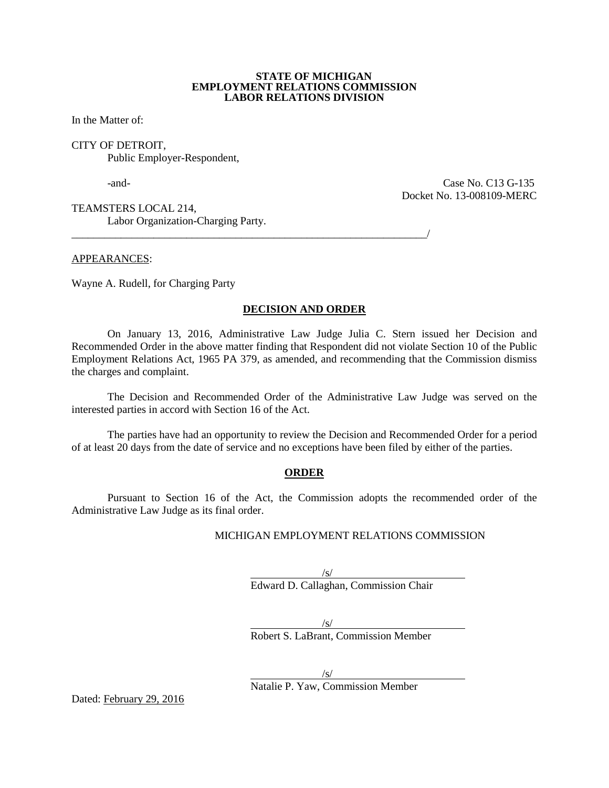#### **STATE OF MICHIGAN EMPLOYMENT RELATIONS COMMISSION LABOR RELATIONS DIVISION**

In the Matter of:

#### CITY OF DETROIT, Public Employer-Respondent,

-and- Case No. C13 G-135 Docket No. 13-008109-MERC

TEAMSTERS LOCAL 214, Labor Organization-Charging Party.

APPEARANCES:

Wayne A. Rudell, for Charging Party

## **DECISION AND ORDER**

\_\_\_\_\_\_\_\_\_\_\_\_\_\_\_\_\_\_\_\_\_\_\_\_\_\_\_\_\_\_\_\_\_\_\_\_\_\_\_\_\_\_\_\_\_\_\_\_\_\_\_\_\_\_\_\_\_\_\_\_\_\_\_\_\_/

On January 13, 2016, Administrative Law Judge Julia C. Stern issued her Decision and Recommended Order in the above matter finding that Respondent did not violate Section 10 of the Public Employment Relations Act, 1965 PA 379, as amended, and recommending that the Commission dismiss the charges and complaint.

The Decision and Recommended Order of the Administrative Law Judge was served on the interested parties in accord with Section 16 of the Act.

The parties have had an opportunity to review the Decision and Recommended Order for a period of at least 20 days from the date of service and no exceptions have been filed by either of the parties.

#### **ORDER**

Pursuant to Section 16 of the Act, the Commission adopts the recommended order of the Administrative Law Judge as its final order.

#### MICHIGAN EMPLOYMENT RELATIONS COMMISSION

/s/ Edward D. Callaghan, Commission Chair

/s/ Robert S. LaBrant, Commission Member

/s/ Natalie P. Yaw, Commission Member

Dated: February 29, 2016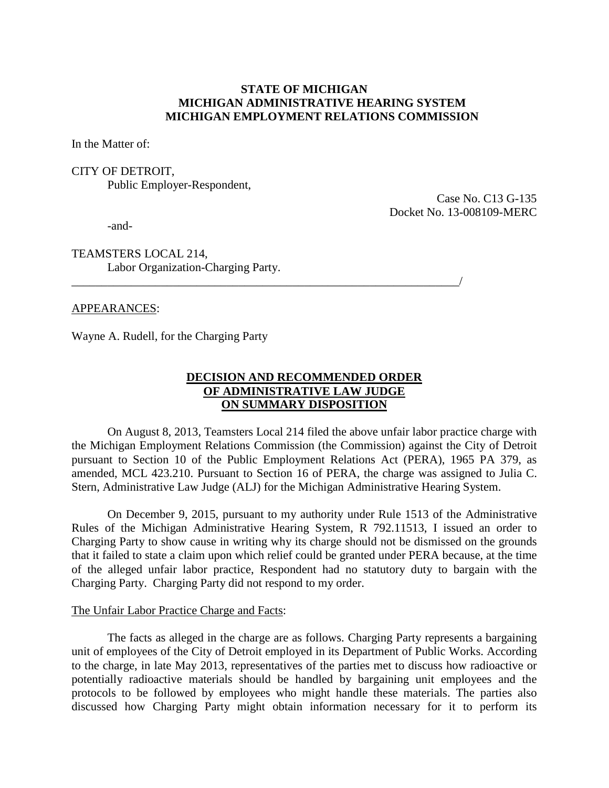## **STATE OF MICHIGAN MICHIGAN ADMINISTRATIVE HEARING SYSTEM MICHIGAN EMPLOYMENT RELATIONS COMMISSION**

In the Matter of:

CITY OF DETROIT, Public Employer-Respondent,

> Case No. C13 G-135 Docket No. 13-008109-MERC

-and-

TEAMSTERS LOCAL 214, Labor Organization-Charging Party.

## APPEARANCES:

Wayne A. Rudell, for the Charging Party

# **DECISION AND RECOMMENDED ORDER OF ADMINISTRATIVE LAW JUDGE ON SUMMARY DISPOSITION**

\_\_\_\_\_\_\_\_\_\_\_\_\_\_\_\_\_\_\_\_\_\_\_\_\_\_\_\_\_\_\_\_\_\_\_\_\_\_\_\_\_\_\_\_\_\_\_\_\_\_\_\_\_\_\_\_\_\_\_\_\_\_\_\_\_/

On August 8, 2013, Teamsters Local 214 filed the above unfair labor practice charge with the Michigan Employment Relations Commission (the Commission) against the City of Detroit pursuant to Section 10 of the Public Employment Relations Act (PERA), 1965 PA 379, as amended, MCL 423.210. Pursuant to Section 16 of PERA, the charge was assigned to Julia C. Stern, Administrative Law Judge (ALJ) for the Michigan Administrative Hearing System.

On December 9, 2015, pursuant to my authority under Rule 1513 of the Administrative Rules of the Michigan Administrative Hearing System, R 792.11513, I issued an order to Charging Party to show cause in writing why its charge should not be dismissed on the grounds that it failed to state a claim upon which relief could be granted under PERA because, at the time of the alleged unfair labor practice, Respondent had no statutory duty to bargain with the Charging Party. Charging Party did not respond to my order.

## The Unfair Labor Practice Charge and Facts:

The facts as alleged in the charge are as follows. Charging Party represents a bargaining unit of employees of the City of Detroit employed in its Department of Public Works. According to the charge, in late May 2013, representatives of the parties met to discuss how radioactive or potentially radioactive materials should be handled by bargaining unit employees and the protocols to be followed by employees who might handle these materials. The parties also discussed how Charging Party might obtain information necessary for it to perform its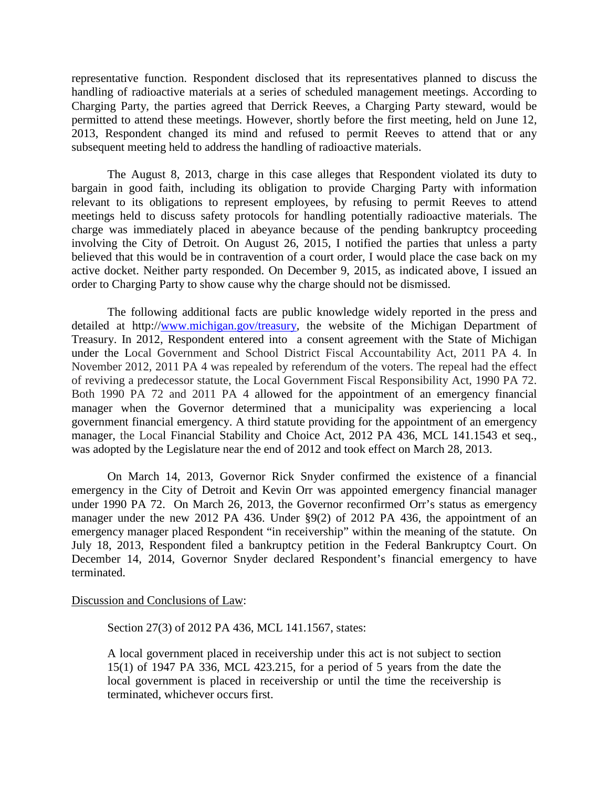representative function. Respondent disclosed that its representatives planned to discuss the handling of radioactive materials at a series of scheduled management meetings. According to Charging Party, the parties agreed that Derrick Reeves, a Charging Party steward, would be permitted to attend these meetings. However, shortly before the first meeting, held on June 12, 2013, Respondent changed its mind and refused to permit Reeves to attend that or any subsequent meeting held to address the handling of radioactive materials.

The August 8, 2013, charge in this case alleges that Respondent violated its duty to bargain in good faith, including its obligation to provide Charging Party with information relevant to its obligations to represent employees, by refusing to permit Reeves to attend meetings held to discuss safety protocols for handling potentially radioactive materials. The charge was immediately placed in abeyance because of the pending bankruptcy proceeding involving the City of Detroit. On August 26, 2015, I notified the parties that unless a party believed that this would be in contravention of a court order, I would place the case back on my active docket. Neither party responded. On December 9, 2015, as indicated above, I issued an order to Charging Party to show cause why the charge should not be dismissed.

The following additional facts are public knowledge widely reported in the press and detailed at http:/[/www.michigan.gov/treasury,](http://www.michigan.gov/treasury) the website of the Michigan Department of Treasury. In 2012, Respondent entered into a consent agreement with the State of Michigan under the Local Government and School District Fiscal Accountability Act, 2011 PA 4. In November 2012, 2011 PA 4 was repealed by referendum of the voters. The repeal had the effect of reviving a predecessor statute, the Local Government Fiscal Responsibility Act, 1990 PA 72. Both 1990 PA 72 and 2011 PA 4 allowed for the appointment of an emergency financial manager when the Governor determined that a municipality was experiencing a local government financial emergency. A third statute providing for the appointment of an emergency manager, the Local Financial Stability and Choice Act, 2012 PA 436, MCL 141.1543 et seq., was adopted by the Legislature near the end of 2012 and took effect on March 28, 2013.

On March 14, 2013, Governor Rick Snyder confirmed the existence of a financial emergency in the City of Detroit and Kevin Orr was appointed emergency financial manager under 1990 PA 72. On March 26, 2013, the Governor reconfirmed Orr's status as emergency manager under the new 2012 PA 436. Under §9(2) of 2012 PA 436, the appointment of an emergency manager placed Respondent "in receivership" within the meaning of the statute. On July 18, 2013, Respondent filed a bankruptcy petition in the Federal Bankruptcy Court. On December 14, 2014, Governor Snyder declared Respondent's financial emergency to have terminated.

Discussion and Conclusions of Law:

Section 27(3) of 2012 PA 436, MCL 141.1567, states:

A local government placed in receivership under this act is not subject to section 15(1) of 1947 PA 336, MCL 423.215, for a period of 5 years from the date the local government is placed in receivership or until the time the receivership is terminated, whichever occurs first.